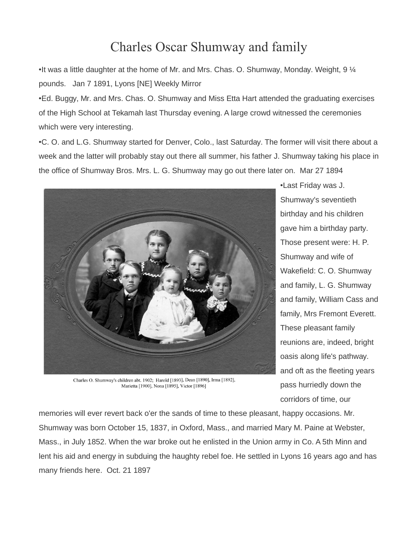## Charles Oscar Shumway and family

•It was a little daughter at the home of Mr. and Mrs. Chas. O. Shumway, Monday. Weight, 9 ¼ pounds. Jan 7 1891, Lyons [NE] Weekly Mirror

•Ed. Buggy, Mr. and Mrs. Chas. O. Shumway and Miss Etta Hart attended the graduating exercises of the High School at Tekamah last Thursday evening. A large crowd witnessed the ceremonies which were very interesting.

•C. O. and L.G. Shumway started for Denver, Colo., last Saturday. The former will visit there about a week and the latter will probably stay out there all summer, his father J. Shumway taking his place in the office of Shumway Bros. Mrs. L. G. Shumway may go out there later on. Mar 27 1894



Shumway's seventieth birthday and his children gave him a birthday party. Those present were: H. P. Shumway and wife of Wakefield: C. O. Shumway and family, L. G. Shumway and family, William Cass and family, Mrs Fremont Everett. These pleasant family reunions are, indeed, bright oasis along life's pathway. and oft as the fleeting years pass hurriedly down the corridors of time, our

•Last Friday was J.

Charles O. Shumway's children abt. 1902; Harold [1893], Dean [1890], Irma [1892], Marietta [1900], Nona [1895], Victor [1896]

memories will ever revert back o'er the sands of time to these pleasant, happy occasions. Mr. Shumway was born October 15, 1837, in Oxford, Mass., and married Mary M. Paine at Webster, Mass., in July 1852. When the war broke out he enlisted in the Union army in Co. A 5th Minn and lent his aid and energy in subduing the haughty rebel foe. He settled in Lyons 16 years ago and has many friends here. Oct. 21 1897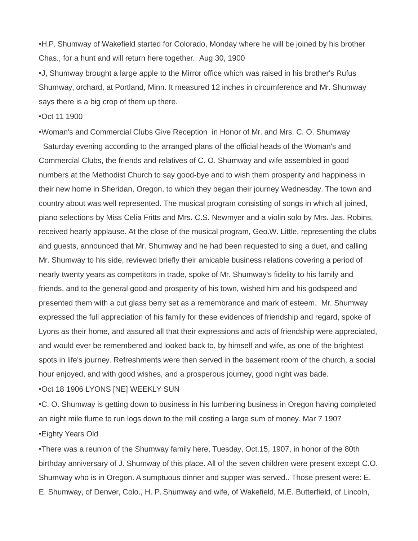•H.P. Shumway of Wakefield started for Colorado, Monday where he will be joined by his brother Chas., for a hunt and will return here together. Aug 30, 1900

•J, Shumway brought a large apple to the Mirror office which was raised in his brother's Rufus Shumway, orchard, at Portland, Minn. It measured 12 inches in circumference and Mr. Shumway says there is a big crop of them up there.

•Oct 11 1900

•Woman's and Commercial Clubs Give Reception in Honor of Mr. and Mrs. C. O. Shumway

Saturday evening according to the arranged plans of the official heads of the Woman's and Commercial Clubs, the friends and relatives of C. O. Shumway and wife assembled in good numbers at the Methodist Church to say good-bye and to wish them prosperity and happiness in their new home in Sheridan, Oregon, to which they began their journey Wednesday. The town and country about was well represented. The musical program consisting of songs in which all joined, piano selections by Miss Celia Fritts and Mrs. C.S. Newmyer and a violin solo by Mrs. Jas. Robins, received hearty applause. At the close of the musical program, Geo.W. Little, representing the clubs and guests, announced that Mr. Shumway and he had been requested to sing a duet, and calling Mr. Shumway to his side, reviewed briefly their amicable business relations covering a period of nearly twenty years as competitors in trade, spoke of Mr. Shumway's fidelity to his family and friends, and to the general good and prosperity of his town, wished him and his godspeed and presented them with a cut glass berry set as a remembrance and mark of esteem. Mr. Shumway expressed the full appreciation of his family for these evidences of friendship and regard, spoke of Lyons as their home, and assured all that their expressions and acts of friendship were appreciated, and would ever be remembered and looked back to, by himself and wife, as one of the brightest spots in life's journey. Refreshments were then served in the basement room of the church, a social hour enjoyed, and with good wishes, and a prosperous journey, good night was bade. •Oct 18 1906 LYONS [NE] WEEKLY SUN

•C. O. Shumway is getting down to business in his lumbering business in Oregon having completed an eight mile flume to run logs down to the mill costing a large sum of money. Mar 7 1907 •Eighty Years Old

•There was a reunion of the Shumway family here, Tuesday, Oct.15, 1907, in honor of the 80th birthday anniversary of J. Shumway of this place. All of the seven children were present except C.O. Shumway who is in Oregon. A sumptuous dinner and supper was served.. Those present were: E. E. Shumway, of Denver, Colo., H. P. Shumway and wife, of Wakefield, M.E. Butterfield, of Lincoln,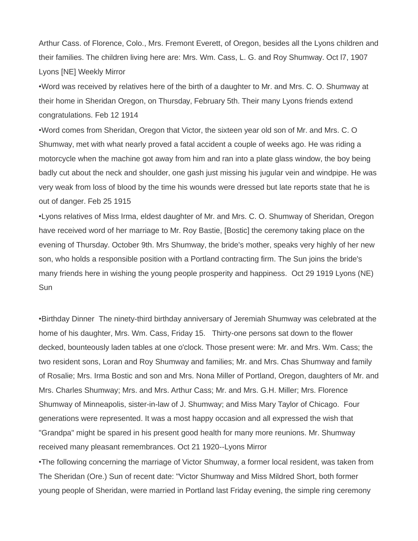Arthur Cass. of Florence, Colo., Mrs. Fremont Everett, of Oregon, besides all the Lyons children and their families. The children living here are: Mrs. Wm. Cass, L. G. and Roy Shumway. Oct l7, 1907 Lyons [NE] Weekly Mirror

•Word was received by relatives here of the birth of a daughter to Mr. and Mrs. C. O. Shumway at their home in Sheridan Oregon, on Thursday, February 5th. Their many Lyons friends extend congratulations. Feb 12 1914

•Word comes from Sheridan, Oregon that Victor, the sixteen year old son of Mr. and Mrs. C. O Shumway, met with what nearly proved a fatal accident a couple of weeks ago. He was riding a motorcycle when the machine got away from him and ran into a plate glass window, the boy being badly cut about the neck and shoulder, one gash just missing his jugular vein and windpipe. He was very weak from loss of blood by the time his wounds were dressed but late reports state that he is out of danger. Feb 25 1915

•Lyons relatives of Miss Irma, eldest daughter of Mr. and Mrs. C. O. Shumway of Sheridan, Oregon have received word of her marriage to Mr. Roy Bastie, [Bostic] the ceremony taking place on the evening of Thursday. October 9th. Mrs Shumway, the bride's mother, speaks very highly of her new son, who holds a responsible position with a Portland contracting firm. The Sun joins the bride's many friends here in wishing the young people prosperity and happiness. Oct 29 1919 Lyons (NE) Sun

•Birthday Dinner The ninety-third birthday anniversary of Jeremiah Shumway was celebrated at the home of his daughter, Mrs. Wm. Cass, Friday 15. Thirty-one persons sat down to the flower decked, bounteously laden tables at one o'clock. Those present were: Mr. and Mrs. Wm. Cass; the two resident sons, Loran and Roy Shumway and families; Mr. and Mrs. Chas Shumway and family of Rosalie; Mrs. Irma Bostic and son and Mrs. Nona Miller of Portland, Oregon, daughters of Mr. and Mrs. Charles Shumway; Mrs. and Mrs. Arthur Cass; Mr. and Mrs. G.H. Miller; Mrs. Florence Shumway of Minneapolis, sister-in-law of J. Shumway; and Miss Mary Taylor of Chicago. Four generations were represented. It was a most happy occasion and all expressed the wish that "Grandpa" might be spared in his present good health for many more reunions. Mr. Shumway received many pleasant remembrances. Oct 21 1920--Lyons Mirror

•The following concerning the marriage of Victor Shumway, a former local resident, was taken from The Sheridan (Ore.) Sun of recent date: "Victor Shumway and Miss Mildred Short, both former young people of Sheridan, were married in Portland last Friday evening, the simple ring ceremony